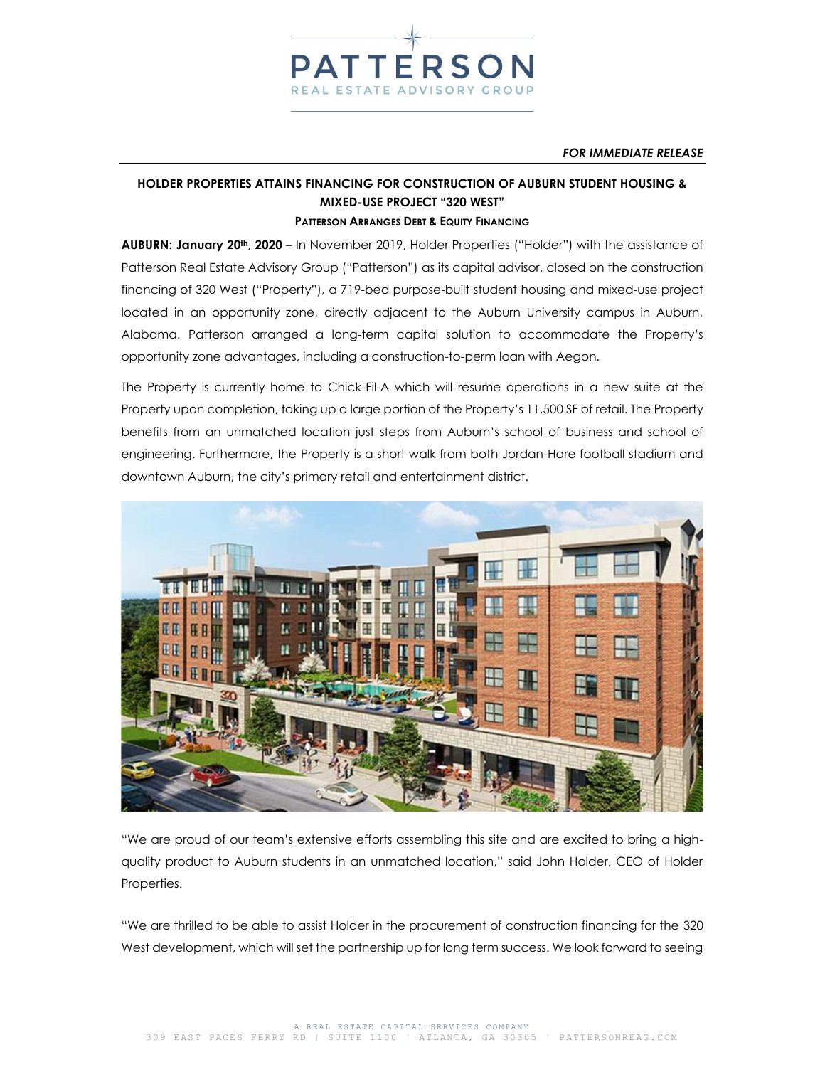

#### *FOR IMMEDIATE RELEASE*

# **HOLDER PROPERTIES ATTAINS FINANCING FOR CONSTRUCTION OF AUBURN STUDENT HOUSING & MIXED-USE PROJECT "320 WEST" PATTERSON ARRANGES DEBT & EQUITY FINANCING**

**AUBURN: January 20th, 2020** – In November 2019, Holder Properties ("Holder") with the assistance of Patterson Real Estate Advisory Group ("Patterson") as its capital advisor, closed on the construction financing of 320 West ("Property"), a 719-bed purpose-built student housing and mixed-use project located in an opportunity zone, directly adjacent to the Auburn University campus in Auburn, Alabama. Patterson arranged a long-term capital solution to accommodate the Property's opportunity zone advantages, including a construction-to-perm loan with Aegon.

The Property is currently home to Chick-Fil-A which will resume operations in a new suite at the Property upon completion, taking up a large portion of the Property's 11,500 SF of retail. The Property benefits from an unmatched location just steps from Auburn's school of business and school of engineering. Furthermore, the Property is a short walk from both Jordan-Hare football stadium and downtown Auburn, the city's primary retail and entertainment district.



"We are proud of our team's extensive efforts assembling this site and are excited to bring a highquality product to Auburn students in an unmatched location," said John Holder, CEO of Holder Properties.

"We are thrilled to be able to assist Holder in the procurement of construction financing for the 320 West development, which will set the partnership up for long term success. We look forward to seeing